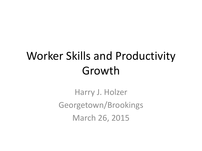# Worker Skills and Productivity Growth

Harry J. Holzer Georgetown/Brookings March 26, 2015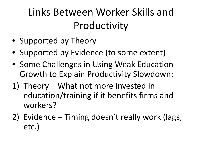#### Links Between Worker Skills and Productivity

- Supported by Theory
- Supported by Evidence (to some extent)
- Some Challenges in Using Weak Education Growth to Explain Productivity Slowdown:
- 1) Theory What not more invested in education/training if it benefits firms and workers?
- 2) Evidence Timing doesn't really work (lags, etc.)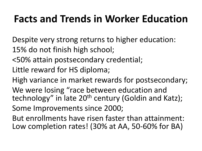#### **Facts and Trends in Worker Education**

Despite very strong returns to higher education: 15% do not finish high school;

- <50% attain postsecondary credential;
- Little reward for HS diploma;

High variance in market rewards for postsecondary; We were losing "race between education and technology" in late 20<sup>th</sup> century (Goldin and Katz);

Some Improvements since 2000;

But enrollments have risen faster than attainment: Low completion rates! (30% at AA, 50-60% for BA)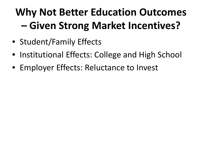# **Why Not Better Education Outcomes – Given Strong Market Incentives?**

- Student/Family Effects
- Institutional Effects: College and High School
- Employer Effects: Reluctance to Invest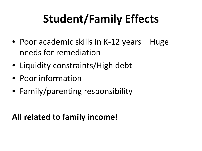# **Student/Family Effects**

- Poor academic skills in K-12 years Huge needs for remediation
- Liquidity constraints/High debt
- Poor information
- Family/parenting responsibility

#### **All related to family income!**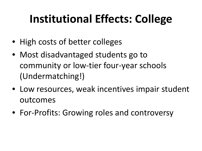# **Institutional Effects: College**

- High costs of better colleges
- Most disadvantaged students go to community or low-tier four-year schools (Undermatching!)
- Low resources, weak incentives impair student outcomes
- For-Profits: Growing roles and controversy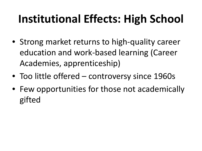# **Institutional Effects: High School**

- Strong market returns to high-quality career education and work-based learning (Career Academies, apprenticeship)
- Too little offered controversy since 1960s
- Few opportunities for those not academically gifted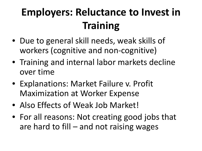### **Employers: Reluctance to Invest in Training**

- Due to general skill needs, weak skills of workers (cognitive and non-cognitive)
- Training and internal labor markets decline over time
- Explanations: Market Failure v. Profit Maximization at Worker Expense
- Also Effects of Weak Job Market!
- For all reasons: Not creating good jobs that are hard to fill – and not raising wages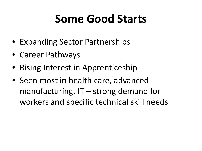# **Some Good Starts**

- Expanding Sector Partnerships
- Career Pathways
- Rising Interest in Apprenticeship
- Seen most in health care, advanced manufacturing,  $IT -$  strong demand for workers and specific technical skill needs